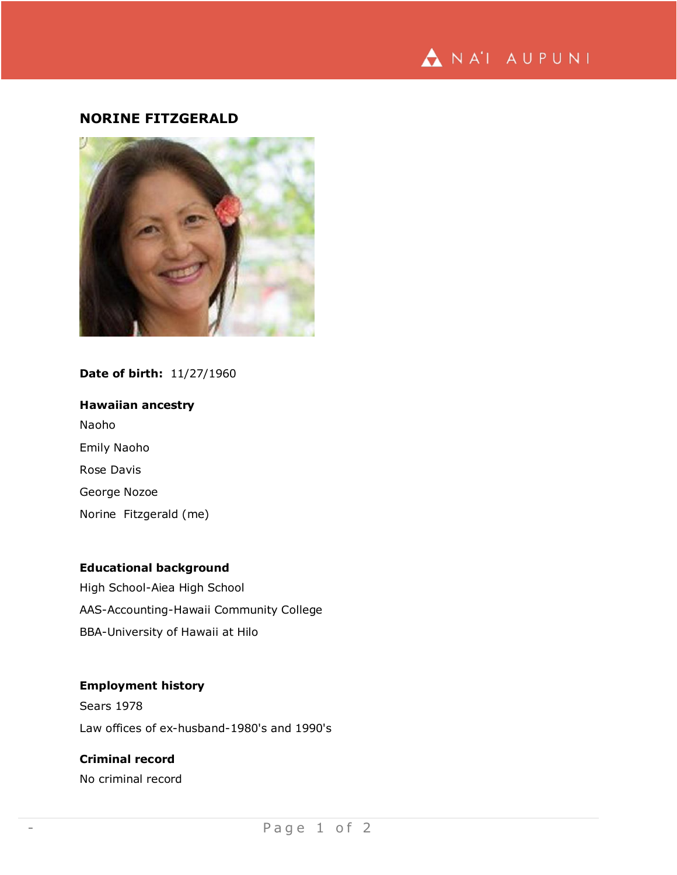

# **NORINE FITZGERALD**



## **Date of birth:** 11/27/1960

**Hawaiian ancestry** Naoho Emily Naoho Rose Davis George Nozoe Norine Fitzgerald (me)

# **Educational background**

High School-Aiea High School AAS-Accounting-Hawaii Community College BBA-University of Hawaii at Hilo

## **Employment history**

Sears 1978 Law offices of ex-husband-1980's and 1990's

# **Criminal record**

No criminal record